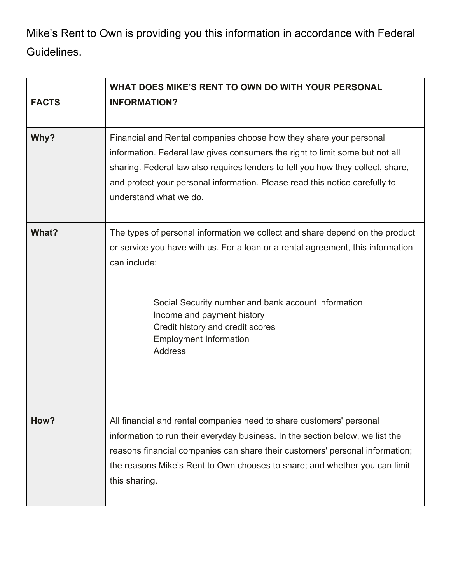Mike's Rent to Own is providing you this information in accordance with Federal Guidelines.

| <b>FACTS</b> | WHAT DOES MIKE'S RENT TO OWN DO WITH YOUR PERSONAL<br><b>INFORMATION?</b>                                                                                                                                                                                                                                                                                   |
|--------------|-------------------------------------------------------------------------------------------------------------------------------------------------------------------------------------------------------------------------------------------------------------------------------------------------------------------------------------------------------------|
| Why?         | Financial and Rental companies choose how they share your personal<br>information. Federal law gives consumers the right to limit some but not all<br>sharing. Federal law also requires lenders to tell you how they collect, share,<br>and protect your personal information. Please read this notice carefully to<br>understand what we do.              |
| What?        | The types of personal information we collect and share depend on the product<br>or service you have with us. For a loan or a rental agreement, this information<br>can include:<br>Social Security number and bank account information<br>Income and payment history<br>Credit history and credit scores<br><b>Employment Information</b><br><b>Address</b> |
| How?         | All financial and rental companies need to share customers' personal<br>information to run their everyday business. In the section below, we list the<br>reasons financial companies can share their customers' personal information;<br>the reasons Mike's Rent to Own chooses to share; and whether you can limit<br>this sharing.                        |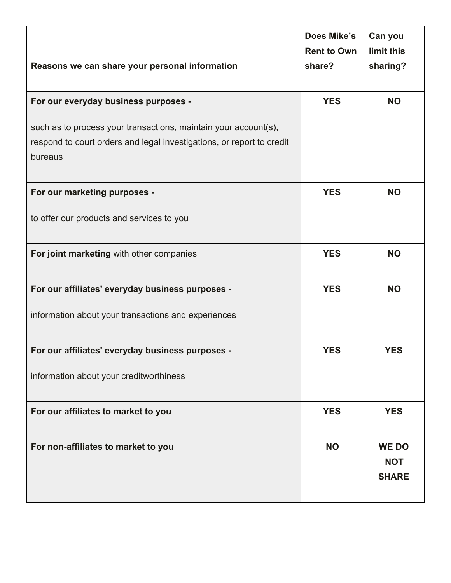| Reasons we can share your personal information                                                                                                      | <b>Does Mike's</b><br><b>Rent to Own</b><br>share? | Can you<br>limit this<br>sharing?          |
|-----------------------------------------------------------------------------------------------------------------------------------------------------|----------------------------------------------------|--------------------------------------------|
| For our everyday business purposes -                                                                                                                | <b>YES</b>                                         | <b>NO</b>                                  |
| such as to process your transactions, maintain your account(s),<br>respond to court orders and legal investigations, or report to credit<br>bureaus |                                                    |                                            |
| For our marketing purposes -                                                                                                                        | <b>YES</b>                                         | <b>NO</b>                                  |
| to offer our products and services to you                                                                                                           |                                                    |                                            |
| For joint marketing with other companies                                                                                                            | <b>YES</b>                                         | <b>NO</b>                                  |
| For our affiliates' everyday business purposes -                                                                                                    | <b>YES</b>                                         | <b>NO</b>                                  |
| information about your transactions and experiences                                                                                                 |                                                    |                                            |
| For our affiliates' everyday business purposes -                                                                                                    | <b>YES</b>                                         | <b>YES</b>                                 |
| information about your creditworthiness                                                                                                             |                                                    |                                            |
| For our affiliates to market to you                                                                                                                 | <b>YES</b>                                         | <b>YES</b>                                 |
| For non-affiliates to market to you                                                                                                                 | <b>NO</b>                                          | <b>WE DO</b><br><b>NOT</b><br><b>SHARE</b> |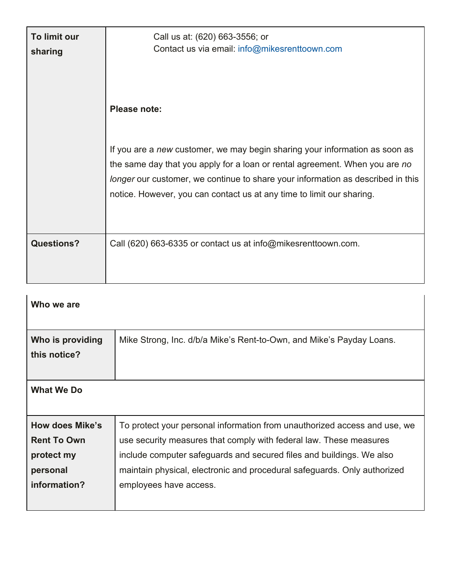| To limit our<br>sharing | Call us at: (620) 663-3556; or<br>Contact us via email: info@mikesrenttoown.com                                                                                                                                                                                                                                        |
|-------------------------|------------------------------------------------------------------------------------------------------------------------------------------------------------------------------------------------------------------------------------------------------------------------------------------------------------------------|
|                         | Please note:                                                                                                                                                                                                                                                                                                           |
|                         | If you are a new customer, we may begin sharing your information as soon as<br>the same day that you apply for a loan or rental agreement. When you are no<br>longer our customer, we continue to share your information as described in this<br>notice. However, you can contact us at any time to limit our sharing. |
| <b>Questions?</b>       | Call (620) 663-6335 or contact us at info@mikesrenttoown.com.                                                                                                                                                                                                                                                          |

| Who we are             |                                                                           |
|------------------------|---------------------------------------------------------------------------|
|                        |                                                                           |
| Who is providing       | Mike Strong, Inc. d/b/a Mike's Rent-to-Own, and Mike's Payday Loans.      |
| this notice?           |                                                                           |
|                        |                                                                           |
| <b>What We Do</b>      |                                                                           |
|                        |                                                                           |
| <b>How does Mike's</b> | To protect your personal information from unauthorized access and use, we |
| <b>Rent To Own</b>     | use security measures that comply with federal law. These measures        |
| protect my             | include computer safeguards and secured files and buildings. We also      |
| personal               | maintain physical, electronic and procedural safeguards. Only authorized  |
| information?           | employees have access.                                                    |
|                        |                                                                           |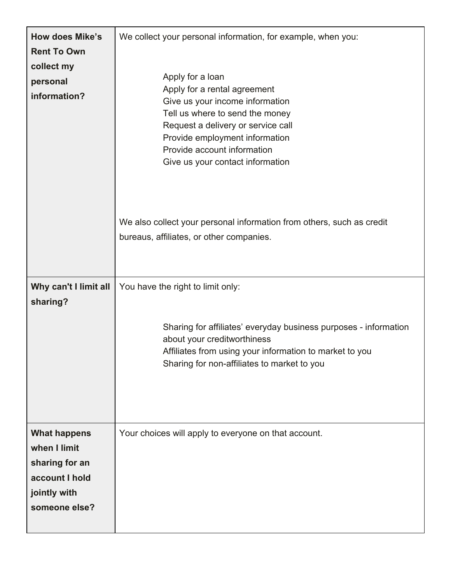| <b>How does Mike's</b><br><b>Rent To Own</b><br>collect my<br>personal<br>information?                   | We collect your personal information, for example, when you:<br>Apply for a loan<br>Apply for a rental agreement<br>Give us your income information<br>Tell us where to send the money<br>Request a delivery or service call<br>Provide employment information<br>Provide account information<br>Give us your contact information |
|----------------------------------------------------------------------------------------------------------|-----------------------------------------------------------------------------------------------------------------------------------------------------------------------------------------------------------------------------------------------------------------------------------------------------------------------------------|
|                                                                                                          | We also collect your personal information from others, such as credit<br>bureaus, affiliates, or other companies.                                                                                                                                                                                                                 |
| Why can't I limit all<br>sharing?                                                                        | You have the right to limit only:<br>Sharing for affiliates' everyday business purposes - information<br>about your creditworthiness<br>Affiliates from using your information to market to you<br>Sharing for non-affiliates to market to you                                                                                    |
| <b>What happens</b><br>when I limit<br>sharing for an<br>account I hold<br>jointly with<br>someone else? | Your choices will apply to everyone on that account.                                                                                                                                                                                                                                                                              |